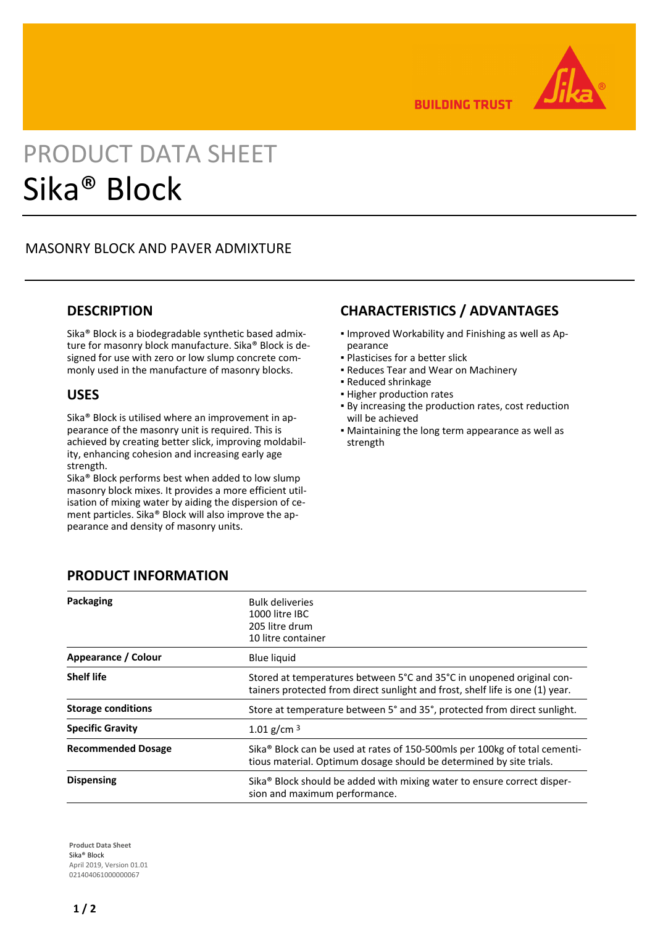

**BUILDING TRUST** 

# PRODUCT DATA SHEET Sika® Block

# MASONRY BLOCK AND PAVER ADMIXTURE

#### **DESCRIPTION**

Sika® Block is a biodegradable synthetic based admixture for masonry block manufacture. Sika® Block is designed for use with zero or low slump concrete commonly used in the manufacture of masonry blocks.

#### **USES**

Sika® Block is utilised where an improvement in appearance of the masonry unit is required. This is achieved by creating better slick, improving moldability, enhancing cohesion and increasing early age strength.

Sika® Block performs best when added to low slump masonry block mixes. It provides a more efficient utilisation of mixing water by aiding the dispersion of cement particles. Sika® Block will also improve the appearance and density of masonry units.

# **CHARACTERISTICS / ADVANTAGES**

- **.** Improved Workability and Finishing as well as Appearance
- Plasticises for a better slick
- Reduces Tear and Wear on Machinery
- Reduced shrinkage
- **· Higher production rates**
- By increasing the production rates, cost reduction will be achieved
- **Maintaining the long term appearance as well as** strength

| Packaging                 | <b>Bulk deliveries</b><br>1000 litre IBC<br>205 litre drum<br>10 litre container                                                                              |
|---------------------------|---------------------------------------------------------------------------------------------------------------------------------------------------------------|
| Appearance / Colour       | <b>Blue liquid</b>                                                                                                                                            |
| <b>Shelf life</b>         | Stored at temperatures between 5°C and 35°C in unopened original con-<br>tainers protected from direct sunlight and frost, shelf life is one (1) year.        |
| <b>Storage conditions</b> | Store at temperature between 5° and 35°, protected from direct sunlight.                                                                                      |
| <b>Specific Gravity</b>   | 1.01 g/cm $3$                                                                                                                                                 |
| <b>Recommended Dosage</b> | Sika <sup>®</sup> Block can be used at rates of 150-500mls per 100kg of total cementi-<br>tious material. Optimum dosage should be determined by site trials. |
| <b>Dispensing</b>         | Sika <sup>®</sup> Block should be added with mixing water to ensure correct disper-<br>sion and maximum performance.                                          |

# **PRODUCT INFORMATION**

**Product Data Sheet** Sika® Block April 2019, Version 01.01 021404061000000067